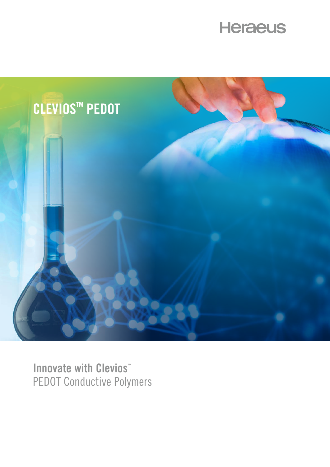



**Innovate with Clevios™** PEDOT Conductive Polymers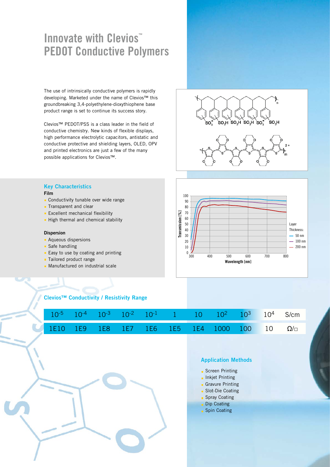# **Innovate with Clevios™ PEDOT Conductive Polymers**

The use of intrinsically conductive polymers is rapidly developing. Marketed under the name of Clevios™ this groundbreaking 3,4-polyethylene-dioxythiophene base product range is set to continue its success story.

Clevios™ PEDOT/PSS is a class leader in the field of conductive chemistry. New kinds of flexible displays, high performance electrolytic capacitors, antistatic and conductive protective and shielding layers, OLED, OPV and printed electronics are just a few of the many possible applications for Clevios™.

# $SO_3H$  $SO_4H$  SO<sub>3</sub>H SO<sub>3</sub> SO H



## **Key Characteristics**

- **Film**
- Conductivity tunable over wide range
- **Transparent and clear**
- **Excellent mechanical flexibility**
- High thermal and chemical stability

#### **Dispersion**

- **Aqueous dispersions**
- Safe handling
- $E$ asy to use by coating and printing
- **Tailored product range**
- **Manufactured on industrial scale**



### **Clevios™ Conductivity / Resistivity Range**

|  |  |  |  |  | $10^{-5}$ $10^{-4}$ $10^{-3}$ $10^{-2}$ $10^{-1}$ 1 $10$ $10^{2}$ $10^{3}$ $10^{4}$ S/cm |
|--|--|--|--|--|------------------------------------------------------------------------------------------|
|  |  |  |  |  | 1E10 1E9 1E8 1E7 1E6 1E5 1E4 1000 100 10 $\Omega/\Box$                                   |



## **Application Methods**

- Screen Printing
- **Inkjet Printing**
- **Gravure Printing**
- **Slot-Die Coating**
- **Spray Coating**
- Dip Coating
- Spin Coating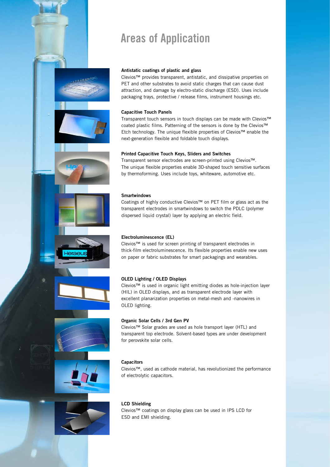# **Areas of Application**

#### **Antistatic coatings of plastic and glass**

Clevios™ provides transparent, antistatic, and dissipative properties on PET and other substrates to avoid static charges that can cause dust attraction, and damage by electro-static discharge (ESD). Uses include packaging trays, protective / release films, instrument housings etc.

#### **Capacitive Touch Panels**

Transparent touch sensors in touch displays can be made with Clevios™ coated plastic films. Patterning of the sensors is done by the Clevios™ Etch technology. The unique flexible properties of Clevios™ enable the next-generation flexible and foldable touch displays.

#### **Printed Capacitive Touch Keys, Sliders and Switches**

Transparent sensor electrodes are screen-printed using Clevios™. The unique flexible properties enable 3D-shaped touch sensitive surfaces by thermoforming. Uses include toys, whiteware, automotive etc.

#### **Smartwindows**

Coatings of highly conductive Clevios™ on PET film or glass act as the transparent electrodes in smartwindows to switch the PDLC (polymer dispersed liquid crystal) layer by applying an electric field.

#### **Electroluminescence (EL)**

Clevios™ is used for screen printing of transparent electrodes in thick-film electroluminescence. Its flexible properties enable new uses on paper or fabric substrates for smart packagings and wearables.

#### **OLED Lighting / OLED Displays**

Clevios™ is used in organic light emitting diodes as hole-injection layer (HIL) in OLED displays, and as transparent electrode layer with excellent planarization properties on metal-mesh and -nanowires in OLED lighting.

#### **Organic Solar Cells / 3rd Gen PV**

Clevios™ Solar grades are used as hole transport layer (HTL) and transparent top electrode. Solvent-based types are under development for perovskite solar cells.

#### **Capacitors**

Clevios™, used as cathode material, has revolutionized the performance of electrolytic capacitors.

### **LCD Shielding**

Clevios™ coatings on display glass can be used in IPS LCD for ESD and EMI shielding.